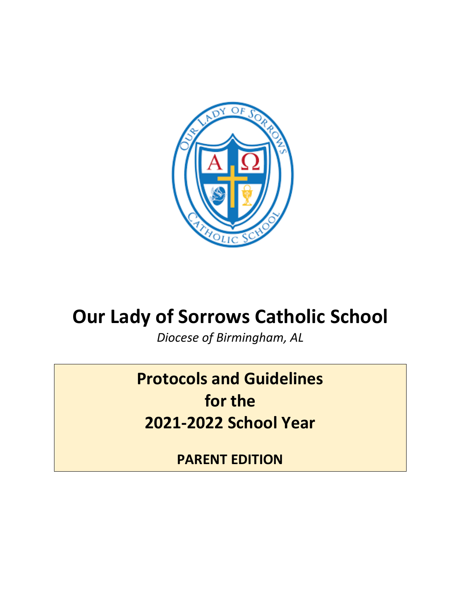

# **Our Lady of Sorrows Catholic School**

*Diocese of Birmingham, AL*

**Protocols and Guidelines for the 2021-2022 School Year** 

**PARENT EDITION**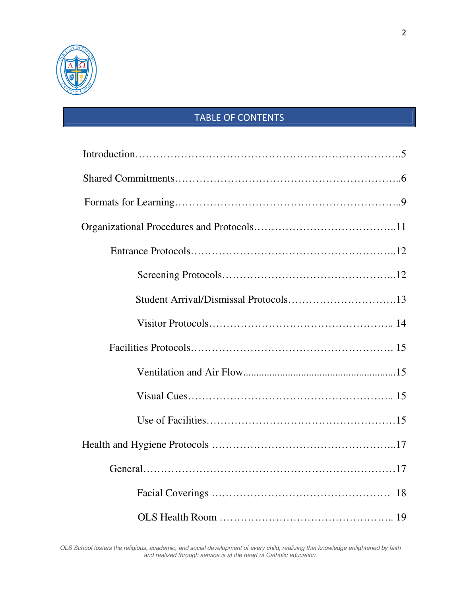

# TABLE OF CONTENTS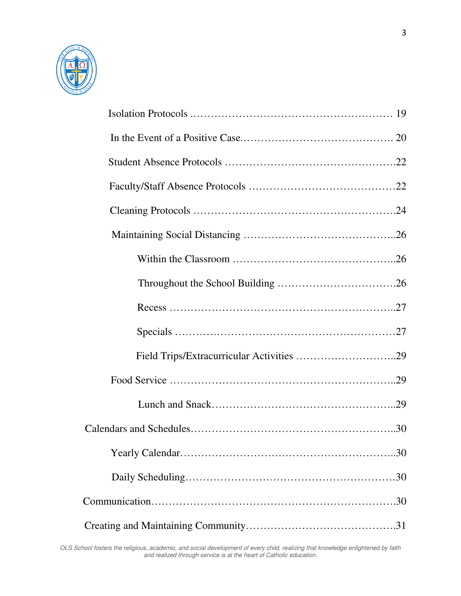

| Field Trips/Extracurricular Activities 29 |
|-------------------------------------------|
|                                           |
|                                           |
|                                           |
|                                           |
|                                           |
|                                           |
|                                           |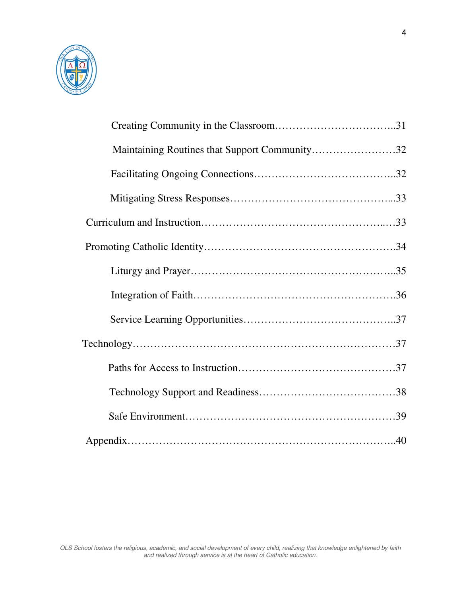

| Maintaining Routines that Support Community32 |  |
|-----------------------------------------------|--|
|                                               |  |
|                                               |  |
|                                               |  |
|                                               |  |
|                                               |  |
|                                               |  |
|                                               |  |
|                                               |  |
|                                               |  |
|                                               |  |
|                                               |  |
|                                               |  |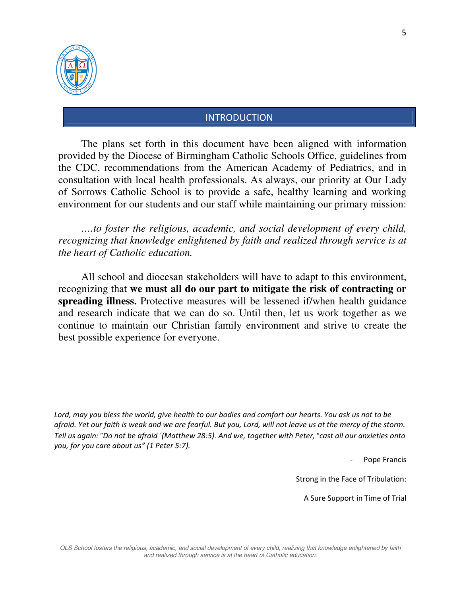

## INTRODUCTION

The plans set forth in this document have been aligned with information provided by the Diocese of Birmingham Catholic Schools Office, guidelines from the CDC, recommendations from the American Academy of Pediatrics, and in consultation with local health professionals. As always, our priority at Our Lady of Sorrows Catholic School is to provide a safe, healthy learning and working environment for our students and our staff while maintaining our primary mission:

*….to foster the religious, academic, and social development of every child, recognizing that knowledge enlightened by faith and realized through service is at the heart of Catholic education.* 

All school and diocesan stakeholders will have to adapt to this environment, recognizing that **we must all do our part to mitigate the risk of contracting or spreading illness.** Protective measures will be lessened if/when health guidance and research indicate that we can do so. Until then, let us work together as we continue to maintain our Christian family environment and strive to create the best possible experience for everyone.

*Lord, may you bless the world, give health to our bodies and comfort our hearts. You ask us not to be afraid. Yet our faith is weak and we are fearful. But you, Lord, will not leave us at the mercy of the storm. Tell us again:* "*Do not be afraid* '*(Matthew 28:5). And we, together with Peter,* "*cast all our anxieties onto you, for you care about us" (1 Peter 5:7).* 

Pope Francis

Strong in the Face of Tribulation:

A Sure Support in Time of Trial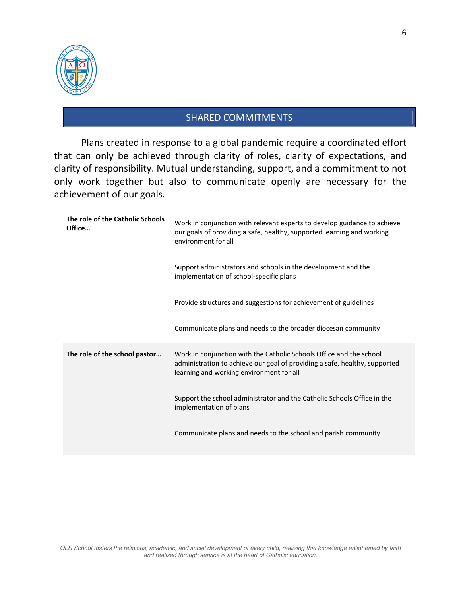

## SHARED COMMITMENTS

Plans created in response to a global pandemic require a coordinated effort that can only be achieved through clarity of roles, clarity of expectations, and clarity of responsibility. Mutual understanding, support, and a commitment to not only work together but also to communicate openly are necessary for the achievement of our goals.

| The role of the Catholic Schools<br>Office | Work in conjunction with relevant experts to develop guidance to achieve<br>our goals of providing a safe, healthy, supported learning and working<br>environment for all                     |
|--------------------------------------------|-----------------------------------------------------------------------------------------------------------------------------------------------------------------------------------------------|
|                                            | Support administrators and schools in the development and the<br>implementation of school-specific plans                                                                                      |
|                                            | Provide structures and suggestions for achievement of guidelines                                                                                                                              |
|                                            | Communicate plans and needs to the broader diocesan community                                                                                                                                 |
| The role of the school pastor              | Work in conjunction with the Catholic Schools Office and the school<br>administration to achieve our goal of providing a safe, healthy, supported<br>learning and working environment for all |
|                                            | Support the school administrator and the Catholic Schools Office in the<br>implementation of plans                                                                                            |
|                                            | Communicate plans and needs to the school and parish community                                                                                                                                |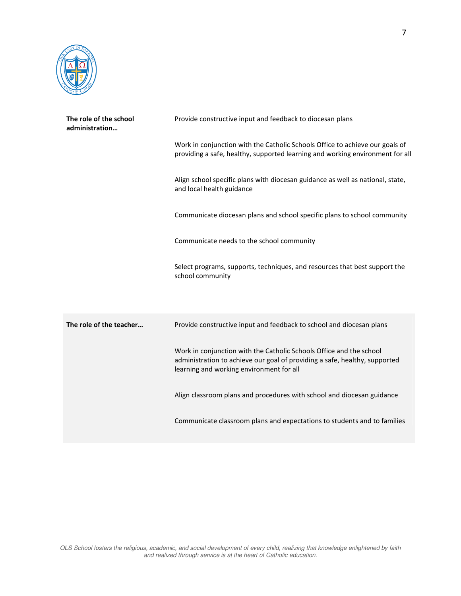

| The role of the school<br>administration | Provide constructive input and feedback to diocesan plans                                                                                                                                     |  |
|------------------------------------------|-----------------------------------------------------------------------------------------------------------------------------------------------------------------------------------------------|--|
|                                          | Work in conjunction with the Catholic Schools Office to achieve our goals of<br>providing a safe, healthy, supported learning and working environment for all                                 |  |
|                                          | Align school specific plans with diocesan guidance as well as national, state,<br>and local health guidance                                                                                   |  |
|                                          | Communicate diocesan plans and school specific plans to school community                                                                                                                      |  |
|                                          | Communicate needs to the school community                                                                                                                                                     |  |
|                                          | Select programs, supports, techniques, and resources that best support the<br>school community                                                                                                |  |
|                                          |                                                                                                                                                                                               |  |
| The role of the teacher                  | Provide constructive input and feedback to school and diocesan plans                                                                                                                          |  |
|                                          | Work in conjunction with the Catholic Schools Office and the school<br>administration to achieve our goal of providing a safe, healthy, supported<br>learning and working environment for all |  |
|                                          | Align classroom plans and procedures with school and diocesan guidance                                                                                                                        |  |
|                                          | Communicate classroom plans and expectations to students and to families                                                                                                                      |  |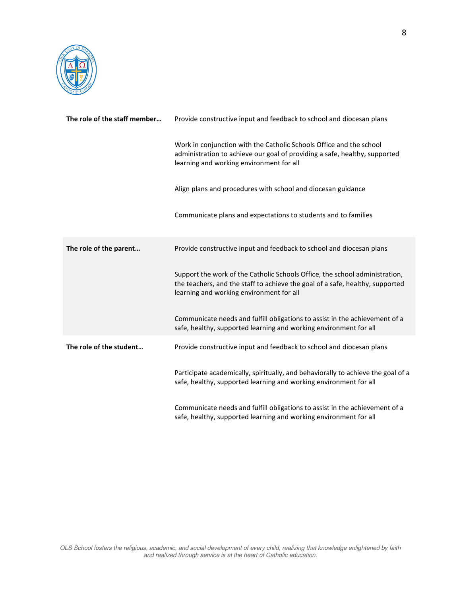

| The role of the staff member | Provide constructive input and feedback to school and diocesan plans                                                                                                                                     |  |
|------------------------------|----------------------------------------------------------------------------------------------------------------------------------------------------------------------------------------------------------|--|
|                              | Work in conjunction with the Catholic Schools Office and the school<br>administration to achieve our goal of providing a safe, healthy, supported<br>learning and working environment for all            |  |
|                              | Align plans and procedures with school and diocesan guidance                                                                                                                                             |  |
|                              | Communicate plans and expectations to students and to families                                                                                                                                           |  |
| The role of the parent       | Provide constructive input and feedback to school and diocesan plans                                                                                                                                     |  |
|                              | Support the work of the Catholic Schools Office, the school administration,<br>the teachers, and the staff to achieve the goal of a safe, healthy, supported<br>learning and working environment for all |  |
|                              | Communicate needs and fulfill obligations to assist in the achievement of a<br>safe, healthy, supported learning and working environment for all                                                         |  |
| The role of the student      | Provide constructive input and feedback to school and diocesan plans                                                                                                                                     |  |
|                              | Participate academically, spiritually, and behaviorally to achieve the goal of a<br>safe, healthy, supported learning and working environment for all                                                    |  |
|                              | Communicate needs and fulfill obligations to assist in the achievement of a<br>safe, healthy, supported learning and working environment for all                                                         |  |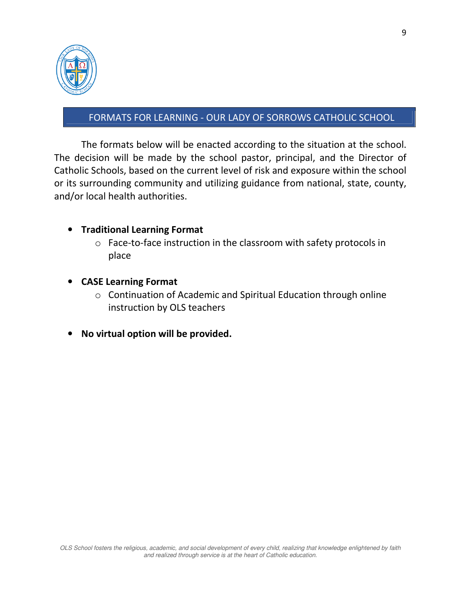

## FORMATS FOR LEARNING - OUR LADY OF SORROWS CATHOLIC SCHOOL

The formats below will be enacted according to the situation at the school. The decision will be made by the school pastor, principal, and the Director of Catholic Schools, based on the current level of risk and exposure within the school or its surrounding community and utilizing guidance from national, state, county, and/or local health authorities.

#### • **Traditional Learning Format**

- o Face-to-face instruction in the classroom with safety protocols in place
- **CASE Learning Format** 
	- o Continuation of Academic and Spiritual Education through online instruction by OLS teachers
- **No virtual option will be provided.**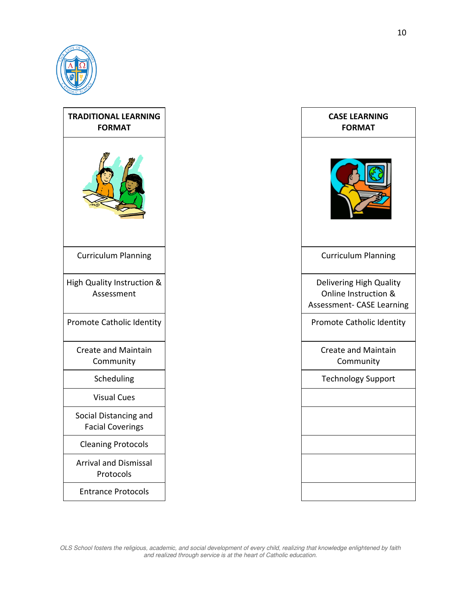

| <b>TRADITIONAL LEARNING</b><br><b>FORMAT</b>     | <b>CASE LEARNING</b><br><b>FORMAT</b>                                        |
|--------------------------------------------------|------------------------------------------------------------------------------|
|                                                  |                                                                              |
| <b>Curriculum Planning</b>                       | <b>Curriculum Planning</b>                                                   |
| High Quality Instruction &<br>Assessment         | Delivering High Quality<br>Online Instruction &<br>Assessment- CASE Learning |
| Promote Catholic Identity                        | <b>Promote Catholic Identity</b>                                             |
| <b>Create and Maintain</b><br>Community          | <b>Create and Maintain</b><br>Community                                      |
| Scheduling                                       | <b>Technology Support</b>                                                    |
| <b>Visual Cues</b>                               |                                                                              |
| Social Distancing and<br><b>Facial Coverings</b> |                                                                              |
| <b>Cleaning Protocols</b>                        |                                                                              |
| <b>Arrival and Dismissal</b><br>Protocols        |                                                                              |
| <b>Entrance Protocols</b>                        |                                                                              |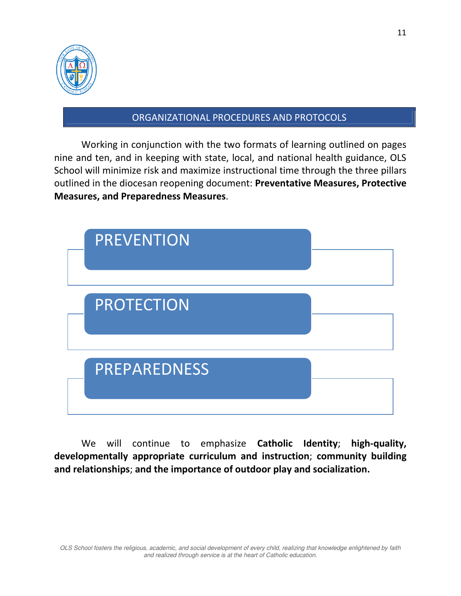

#### ORGANIZATIONAL PROCEDURES AND PROTOCOLS

Working in conjunction with the two formats of learning outlined on pages nine and ten, and in keeping with state, local, and national health guidance, OLS School will minimize risk and maximize instructional time through the three pillars outlined in the diocesan reopening document: **Preventative Measures, Protective Measures, and Preparedness Measures**.



We will continue to emphasize **Catholic Identity**; **high-quality, developmentally appropriate curriculum and instruction**; **community building and relationships**; **and the importance of outdoor play and socialization.**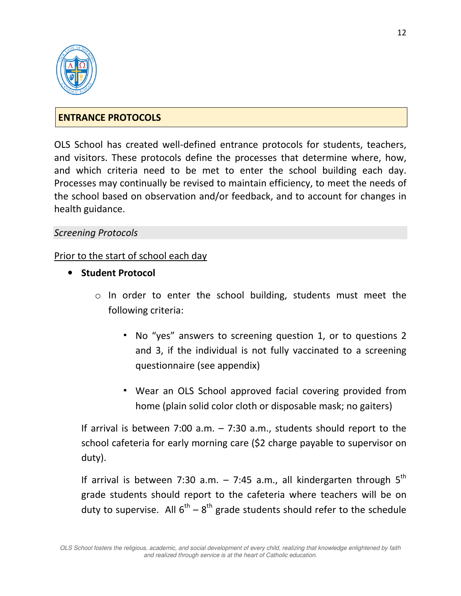

## **ENTRANCE PROTOCOLS**

OLS School has created well-defined entrance protocols for students, teachers, and visitors. These protocols define the processes that determine where, how, and which criteria need to be met to enter the school building each day. Processes may continually be revised to maintain efficiency, to meet the needs of the school based on observation and/or feedback, and to account for changes in health guidance.

#### *Screening Protocols*

#### Prior to the start of school each day

- **Student Protocol** 
	- o In order to enter the school building, students must meet the following criteria:
		- No "yes" answers to screening question 1, or to questions 2 and 3, if the individual is not fully vaccinated to a screening questionnaire (see appendix)
		- Wear an OLS School approved facial covering provided from home (plain solid color cloth or disposable mask; no gaiters)

If arrival is between 7:00 a.m. – 7:30 a.m., students should report to the school cafeteria for early morning care (\$2 charge payable to supervisor on duty).

If arrival is between 7:30 a.m.  $-$  7:45 a.m., all kindergarten through  $5<sup>th</sup>$ grade students should report to the cafeteria where teachers will be on duty to supervise. All  $6^{th} - 8^{th}$  grade students should refer to the schedule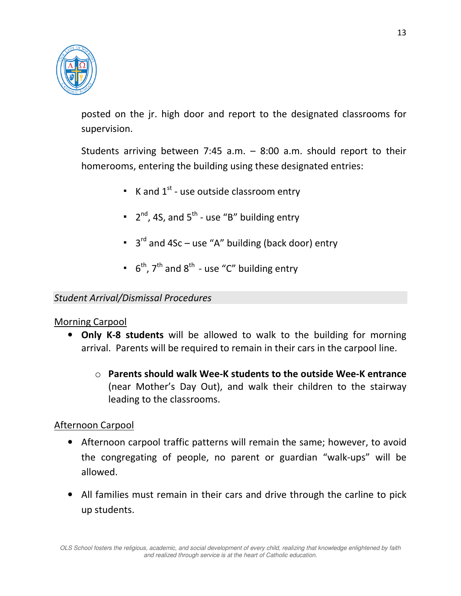

posted on the jr. high door and report to the designated classrooms for supervision.

Students arriving between 7:45 a.m. – 8:00 a.m. should report to their homerooms, entering the building using these designated entries:

- $\bullet$  K and  $1^{st}$  use outside classroom entry
- $\bullet$  2<sup>nd</sup>, 4S, and 5<sup>th</sup> use "B" building entry
- <sup>•</sup> 3<sup>rd</sup> and 4Sc use "A" building (back door) entry
- $\bullet$  6<sup>th</sup>, 7<sup>th</sup> and 8<sup>th</sup> use "C" building entry

#### *Student Arrival/Dismissal Procedures*

#### Morning Carpool

- **Only K-8 students** will be allowed to walk to the building for morning arrival. Parents will be required to remain in their cars in the carpool line.
	- o **Parents should walk Wee-K students to the outside Wee-K entrance** (near Mother's Day Out), and walk their children to the stairway leading to the classrooms.

#### Afternoon Carpool

- Afternoon carpool traffic patterns will remain the same; however, to avoid the congregating of people, no parent or guardian "walk-ups" will be allowed.
- All families must remain in their cars and drive through the carline to pick up students.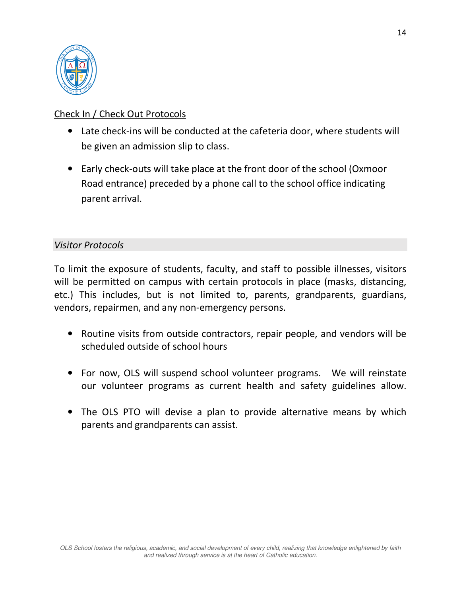

# Check In / Check Out Protocols

- Late check-ins will be conducted at the cafeteria door, where students will be given an admission slip to class.
- Early check-outs will take place at the front door of the school (Oxmoor Road entrance) preceded by a phone call to the school office indicating parent arrival.

## *Visitor Protocols*

To limit the exposure of students, faculty, and staff to possible illnesses, visitors will be permitted on campus with certain protocols in place (masks, distancing, etc.) This includes, but is not limited to, parents, grandparents, guardians, vendors, repairmen, and any non-emergency persons.

- Routine visits from outside contractors, repair people, and vendors will be scheduled outside of school hours
- For now, OLS will suspend school volunteer programs. We will reinstate our volunteer programs as current health and safety guidelines allow.
- The OLS PTO will devise a plan to provide alternative means by which parents and grandparents can assist.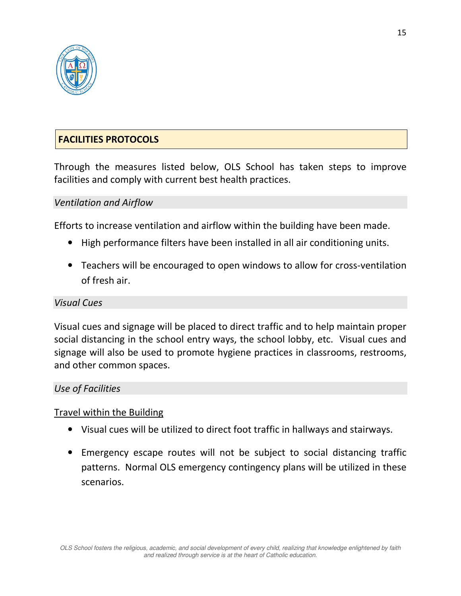

## **FACILITIES PROTOCOLS**

Through the measures listed below, OLS School has taken steps to improve facilities and comply with current best health practices.

#### *Ventilation and Airflow*

Efforts to increase ventilation and airflow within the building have been made.

- High performance filters have been installed in all air conditioning units.
- Teachers will be encouraged to open windows to allow for cross-ventilation of fresh air.

#### *Visual Cues*

Visual cues and signage will be placed to direct traffic and to help maintain proper social distancing in the school entry ways, the school lobby, etc. Visual cues and signage will also be used to promote hygiene practices in classrooms, restrooms, and other common spaces.

#### *Use of Facilities*

#### Travel within the Building

- Visual cues will be utilized to direct foot traffic in hallways and stairways.
- Emergency escape routes will not be subject to social distancing traffic patterns. Normal OLS emergency contingency plans will be utilized in these scenarios.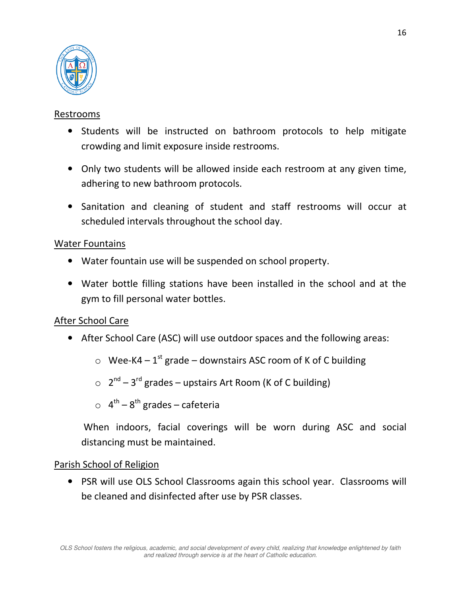

## Restrooms

- Students will be instructed on bathroom protocols to help mitigate crowding and limit exposure inside restrooms.
- Only two students will be allowed inside each restroom at any given time, adhering to new bathroom protocols.
- Sanitation and cleaning of student and staff restrooms will occur at scheduled intervals throughout the school day.

## Water Fountains

- Water fountain use will be suspended on school property.
- Water bottle filling stations have been installed in the school and at the gym to fill personal water bottles.

## After School Care

- After School Care (ASC) will use outdoor spaces and the following areas:
	- $\circ$  Wee-K4 1<sup>st</sup> grade downstairs ASC room of K of C building
	- $\circ$  2<sup>nd</sup> 3<sup>rd</sup> grades upstairs Art Room (K of C building)
	- $\circ$  4<sup>th</sup> 8<sup>th</sup> grades cafeteria

 When indoors, facial coverings will be worn during ASC and social distancing must be maintained.

#### Parish School of Religion

• PSR will use OLS School Classrooms again this school year. Classrooms will be cleaned and disinfected after use by PSR classes.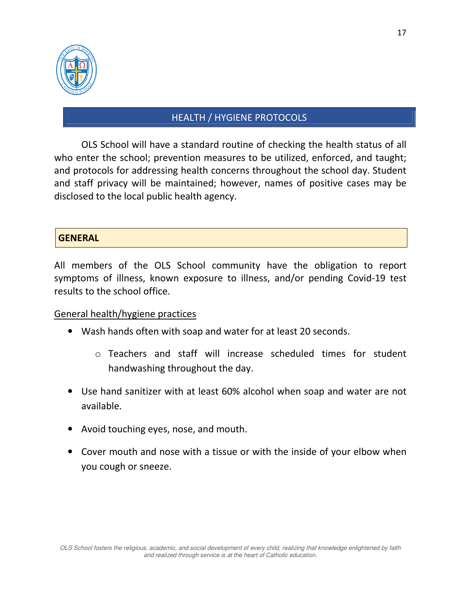

# HEALTH / HYGIENE PROTOCOLS

OLS School will have a standard routine of checking the health status of all who enter the school; prevention measures to be utilized, enforced, and taught; and protocols for addressing health concerns throughout the school day. Student and staff privacy will be maintained; however, names of positive cases may be disclosed to the local public health agency.

#### **GENERAL**

All members of the OLS School community have the obligation to report symptoms of illness, known exposure to illness, and/or pending Covid-19 test results to the school office.

#### General health/hygiene practices

- Wash hands often with soap and water for at least 20 seconds.
	- o Teachers and staff will increase scheduled times for student handwashing throughout the day.
- Use hand sanitizer with at least 60% alcohol when soap and water are not available.
- Avoid touching eyes, nose, and mouth.
- Cover mouth and nose with a tissue or with the inside of your elbow when you cough or sneeze.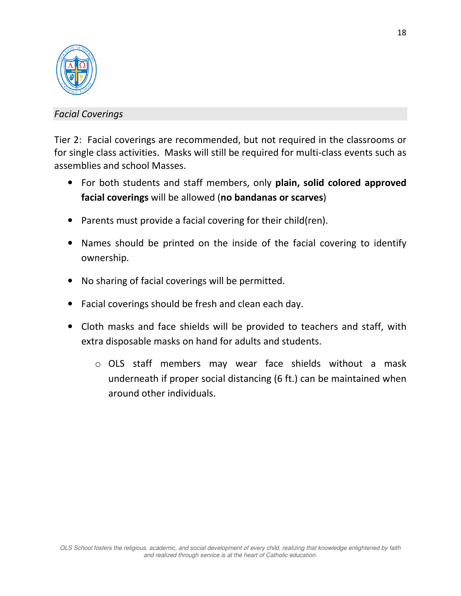

## *Facial Coverings*

Tier 2: Facial coverings are recommended, but not required in the classrooms or for single class activities. Masks will still be required for multi-class events such as assemblies and school Masses.

- For both students and staff members, only **plain, solid colored approved facial coverings** will be allowed (**no bandanas or scarves**)
- Parents must provide a facial covering for their child(ren).
- Names should be printed on the inside of the facial covering to identify ownership.
- No sharing of facial coverings will be permitted.
- Facial coverings should be fresh and clean each day.
- Cloth masks and face shields will be provided to teachers and staff, with extra disposable masks on hand for adults and students.
	- o OLS staff members may wear face shields without a mask underneath if proper social distancing (6 ft.) can be maintained when around other individuals.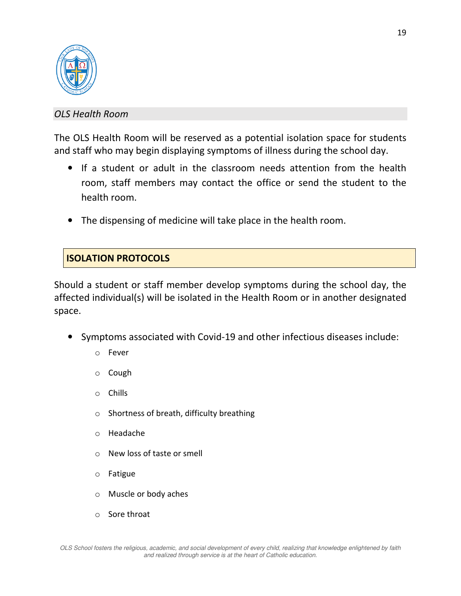

#### *OLS Health Room*

The OLS Health Room will be reserved as a potential isolation space for students and staff who may begin displaying symptoms of illness during the school day.

- If a student or adult in the classroom needs attention from the health room, staff members may contact the office or send the student to the health room.
- The dispensing of medicine will take place in the health room.

# **ISOLATION PROTOCOLS**

Should a student or staff member develop symptoms during the school day, the affected individual(s) will be isolated in the Health Room or in another designated space.

- Symptoms associated with Covid-19 and other infectious diseases include:
	- o Fever
	- o Cough
	- o Chills
	- o Shortness of breath, difficulty breathing
	- o Headache
	- o New loss of taste or smell
	- o Fatigue
	- o Muscle or body aches
	- o Sore throat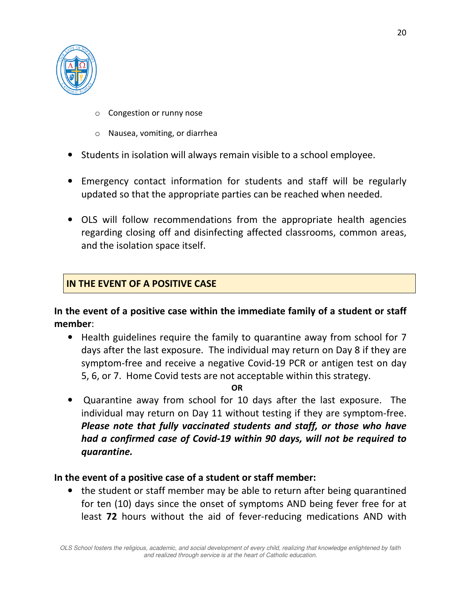

- o Congestion or runny nose
- o Nausea, vomiting, or diarrhea
- Students in isolation will always remain visible to a school employee.
- Emergency contact information for students and staff will be regularly updated so that the appropriate parties can be reached when needed.
- OLS will follow recommendations from the appropriate health agencies regarding closing off and disinfecting affected classrooms, common areas, and the isolation space itself.

## **IN THE EVENT OF A POSITIVE CASE**

**In the event of a positive case within the immediate family of a student or staff member**:

• Health guidelines require the family to quarantine away from school for 7 days after the last exposure. The individual may return on Day 8 if they are symptom-free and receive a negative Covid-19 PCR or antigen test on day 5, 6, or 7. Home Covid tests are not acceptable within this strategy.

**OR**

• Quarantine away from school for 10 days after the last exposure. The individual may return on Day 11 without testing if they are symptom-free. *Please note that fully vaccinated students and staff, or those who have had a confirmed case of Covid-19 within 90 days, will not be required to quarantine.*

#### **In the event of a positive case of a student or staff member:**

• the student or staff member may be able to return after being quarantined for ten (10) days since the onset of symptoms AND being fever free for at least **72** hours without the aid of fever-reducing medications AND with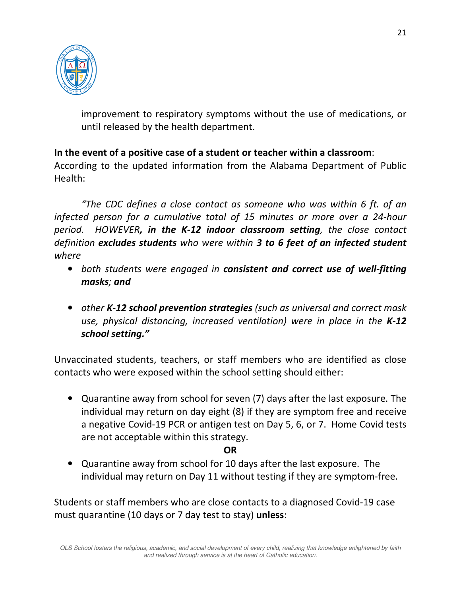

improvement to respiratory symptoms without the use of medications, or until released by the health department.

## **In the event of a positive case of a student or teacher within a classroom**:

According to the updated information from the Alabama Department of Public Health:

*"The CDC defines a close contact as someone who was within 6 ft. of an infected person for a cumulative total of 15 minutes or more over a 24-hour period. HOWEVER, in the K-12 indoor classroom setting, the close contact definition excludes students who were within 3 to 6 feet of an infected student where* 

- *both students were engaged in consistent and correct use of well-fitting masks; and*
- *other K-12 school prevention strategies (such as universal and correct mask use, physical distancing, increased ventilation) were in place in the K-12 school setting."*

Unvaccinated students, teachers, or staff members who are identified as close contacts who were exposed within the school setting should either:

• Quarantine away from school for seven (7) days after the last exposure. The individual may return on day eight (8) if they are symptom free and receive a negative Covid-19 PCR or antigen test on Day 5, 6, or 7. Home Covid tests are not acceptable within this strategy.

#### **OR**

• Quarantine away from school for 10 days after the last exposure. The individual may return on Day 11 without testing if they are symptom-free.

Students or staff members who are close contacts to a diagnosed Covid-19 case must quarantine (10 days or 7 day test to stay) **unless**: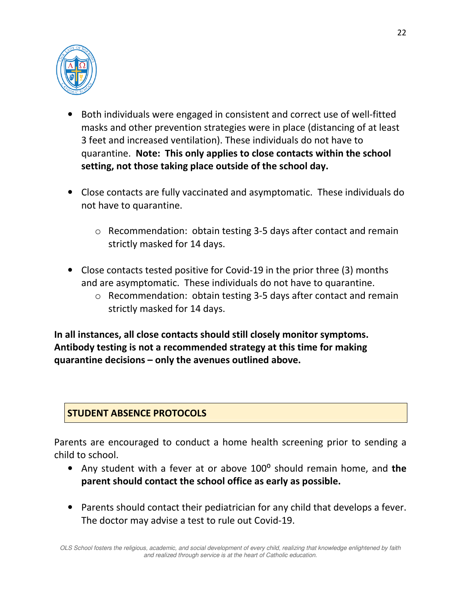

- Both individuals were engaged in consistent and correct use of well-fitted masks and other prevention strategies were in place (distancing of at least 3 feet and increased ventilation). These individuals do not have to quarantine. **Note: This only applies to close contacts within the school setting, not those taking place outside of the school day.**
- Close contacts are fully vaccinated and asymptomatic. These individuals do not have to quarantine.
	- o Recommendation: obtain testing 3-5 days after contact and remain strictly masked for 14 days.
- Close contacts tested positive for Covid-19 in the prior three (3) months and are asymptomatic. These individuals do not have to quarantine.
	- o Recommendation: obtain testing 3-5 days after contact and remain strictly masked for 14 days.

**In all instances, all close contacts should still closely monitor symptoms. Antibody testing is not a recommended strategy at this time for making quarantine decisions – only the avenues outlined above.** 

# **STUDENT ABSENCE PROTOCOLS**

Parents are encouraged to conduct a home health screening prior to sending a child to school.

- Any student with a fever at or above 100<sup>°</sup> should remain home, and the **parent should contact the school office as early as possible.**
- Parents should contact their pediatrician for any child that develops a fever. The doctor may advise a test to rule out Covid-19.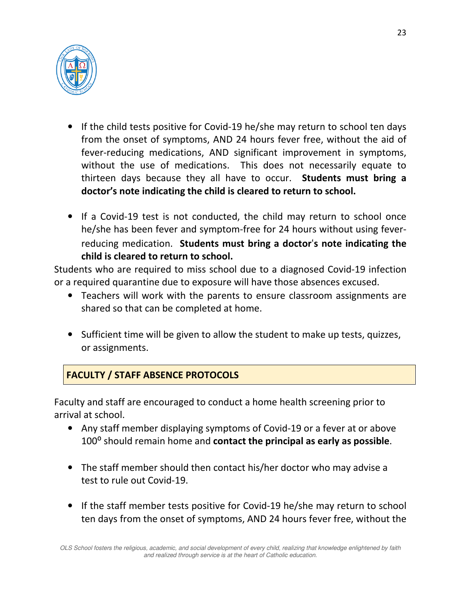

- If the child tests positive for Covid-19 he/she may return to school ten days from the onset of symptoms, AND 24 hours fever free, without the aid of fever-reducing medications, AND significant improvement in symptoms, without the use of medications. This does not necessarily equate to thirteen days because they all have to occur. **Students must bring a doctor's note indicating the child is cleared to return to school.**
- If a Covid-19 test is not conducted, the child may return to school once he/she has been fever and symptom-free for 24 hours without using feverreducing medication. **Students must bring a doctor**'**s note indicating the child is cleared to return to school.**

Students who are required to miss school due to a diagnosed Covid-19 infection or a required quarantine due to exposure will have those absences excused.

- Teachers will work with the parents to ensure classroom assignments are shared so that can be completed at home.
- Sufficient time will be given to allow the student to make up tests, quizzes, or assignments.

# **FACULTY / STAFF ABSENCE PROTOCOLS**

Faculty and staff are encouraged to conduct a home health screening prior to arrival at school.

- Any staff member displaying symptoms of Covid-19 or a fever at or above 100⁰ should remain home and **contact the principal as early as possible**.
- The staff member should then contact his/her doctor who may advise a test to rule out Covid-19.
- If the staff member tests positive for Covid-19 he/she may return to school ten days from the onset of symptoms, AND 24 hours fever free, without the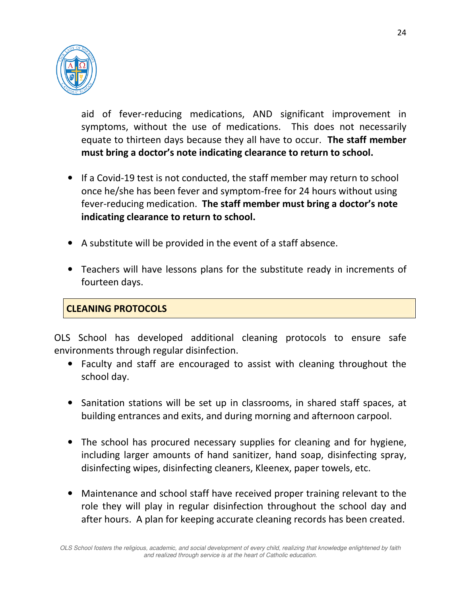

aid of fever-reducing medications, AND significant improvement in symptoms, without the use of medications. This does not necessarily equate to thirteen days because they all have to occur. **The staff member must bring a doctor's note indicating clearance to return to school.**

- If a Covid-19 test is not conducted, the staff member may return to school once he/she has been fever and symptom-free for 24 hours without using fever-reducing medication. **The staff member must bring a doctor's note indicating clearance to return to school.**
- A substitute will be provided in the event of a staff absence.
- Teachers will have lessons plans for the substitute ready in increments of fourteen days.

## **CLEANING PROTOCOLS**

OLS School has developed additional cleaning protocols to ensure safe environments through regular disinfection.

- Faculty and staff are encouraged to assist with cleaning throughout the school day.
- Sanitation stations will be set up in classrooms, in shared staff spaces, at building entrances and exits, and during morning and afternoon carpool.
- The school has procured necessary supplies for cleaning and for hygiene, including larger amounts of hand sanitizer, hand soap, disinfecting spray, disinfecting wipes, disinfecting cleaners, Kleenex, paper towels, etc.
- Maintenance and school staff have received proper training relevant to the role they will play in regular disinfection throughout the school day and after hours. A plan for keeping accurate cleaning records has been created.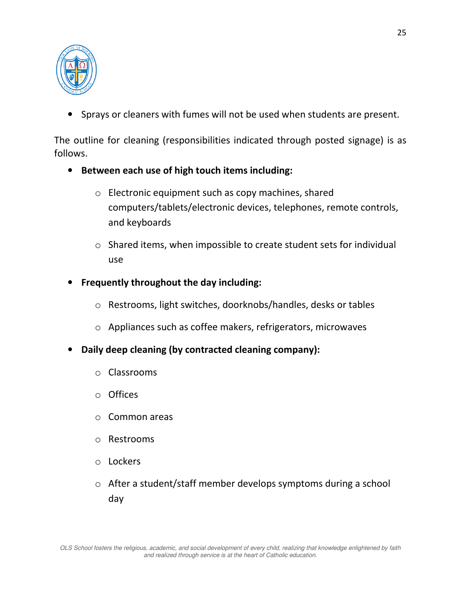

• Sprays or cleaners with fumes will not be used when students are present.

The outline for cleaning (responsibilities indicated through posted signage) is as follows.

- **Between each use of high touch items including:** 
	- o Electronic equipment such as copy machines, shared computers/tablets/electronic devices, telephones, remote controls, and keyboards
	- o Shared items, when impossible to create student sets for individual use
- **Frequently throughout the day including:** 
	- o Restrooms, light switches, doorknobs/handles, desks or tables
	- o Appliances such as coffee makers, refrigerators, microwaves
- **Daily deep cleaning (by contracted cleaning company):** 
	- o Classrooms
	- o Offices
	- o Common areas
	- o Restrooms
	- o Lockers
	- o After a student/staff member develops symptoms during a school day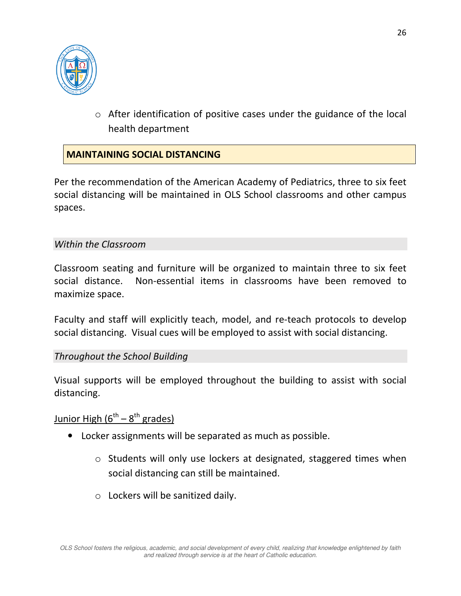

o After identification of positive cases under the guidance of the local health department

## **MAINTAINING SOCIAL DISTANCING**

Per the recommendation of the American Academy of Pediatrics, three to six feet social distancing will be maintained in OLS School classrooms and other campus spaces.

#### *Within the Classroom*

Classroom seating and furniture will be organized to maintain three to six feet social distance. Non-essential items in classrooms have been removed to maximize space.

Faculty and staff will explicitly teach, model, and re-teach protocols to develop social distancing. Visual cues will be employed to assist with social distancing.

#### *Throughout the School Building*

Visual supports will be employed throughout the building to assist with social distancing.

Junior High  $(6^{th} - 8^{th}$  grades)

- Locker assignments will be separated as much as possible.
	- o Students will only use lockers at designated, staggered times when social distancing can still be maintained.
	- $\circ$  Lockers will be sanitized daily.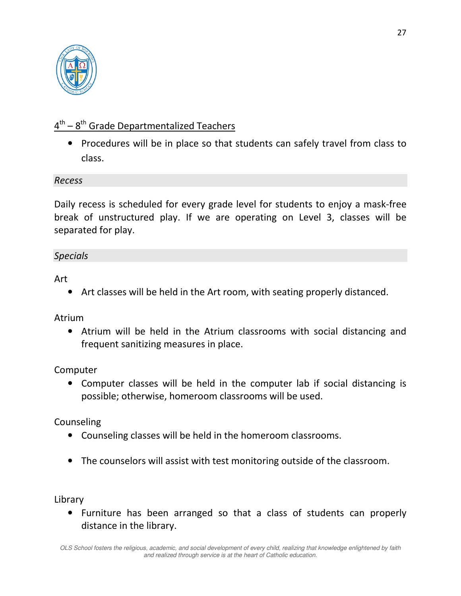

# $4^{\text{th}} - 8^{\text{th}}$  Grade Departmentalized Teachers

• Procedures will be in place so that students can safely travel from class to class.

#### *Recess*

Daily recess is scheduled for every grade level for students to enjoy a mask-free break of unstructured play. If we are operating on Level 3, classes will be separated for play.

#### *Specials*

Art

• Art classes will be held in the Art room, with seating properly distanced.

Atrium

• Atrium will be held in the Atrium classrooms with social distancing and frequent sanitizing measures in place.

Computer

• Computer classes will be held in the computer lab if social distancing is possible; otherwise, homeroom classrooms will be used.

Counseling

- Counseling classes will be held in the homeroom classrooms.
- The counselors will assist with test monitoring outside of the classroom.

Library

• Furniture has been arranged so that a class of students can properly distance in the library.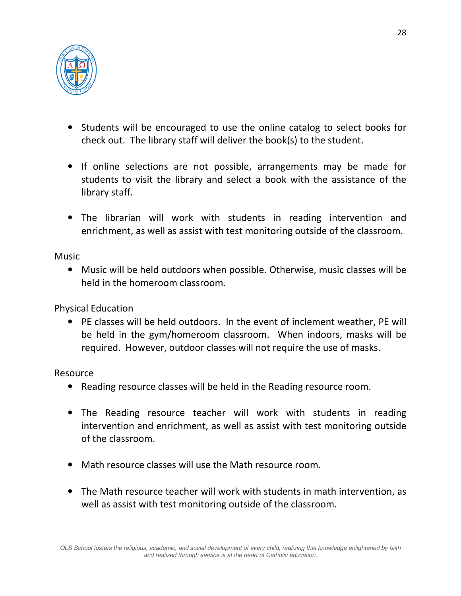

- Students will be encouraged to use the online catalog to select books for check out. The library staff will deliver the book(s) to the student.
- If online selections are not possible, arrangements may be made for students to visit the library and select a book with the assistance of the library staff.
- The librarian will work with students in reading intervention and enrichment, as well as assist with test monitoring outside of the classroom.

**Music** 

• Music will be held outdoors when possible. Otherwise, music classes will be held in the homeroom classroom.

Physical Education

• PE classes will be held outdoors. In the event of inclement weather, PE will be held in the gym/homeroom classroom. When indoors, masks will be required. However, outdoor classes will not require the use of masks.

Resource

- Reading resource classes will be held in the Reading resource room.
- The Reading resource teacher will work with students in reading intervention and enrichment, as well as assist with test monitoring outside of the classroom.
- Math resource classes will use the Math resource room.
- The Math resource teacher will work with students in math intervention, as well as assist with test monitoring outside of the classroom.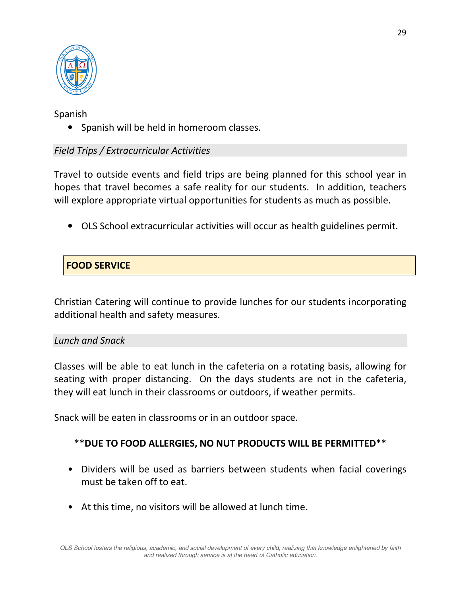

Spanish

• Spanish will be held in homeroom classes.

## *Field Trips / Extracurricular Activities*

Travel to outside events and field trips are being planned for this school year in hopes that travel becomes a safe reality for our students. In addition, teachers will explore appropriate virtual opportunities for students as much as possible.

• OLS School extracurricular activities will occur as health guidelines permit.

## **FOOD SERVICE**

Christian Catering will continue to provide lunches for our students incorporating additional health and safety measures.

#### *Lunch and Snack*

Classes will be able to eat lunch in the cafeteria on a rotating basis, allowing for seating with proper distancing. On the days students are not in the cafeteria, they will eat lunch in their classrooms or outdoors, if weather permits.

Snack will be eaten in classrooms or in an outdoor space.

## \*\***DUE TO FOOD ALLERGIES, NO NUT PRODUCTS WILL BE PERMITTED**\*\*

- Dividers will be used as barriers between students when facial coverings must be taken off to eat.
- At this time, no visitors will be allowed at lunch time.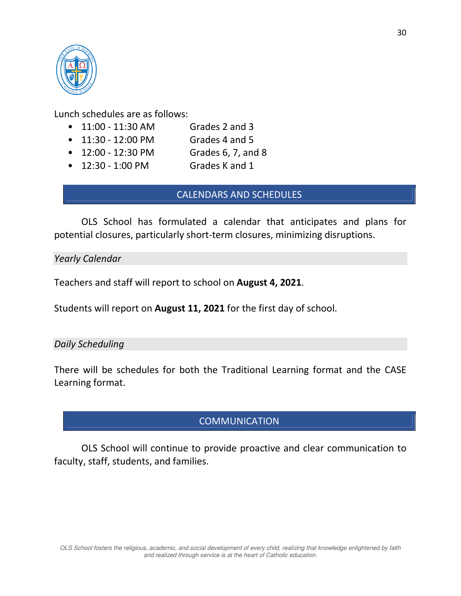

Lunch schedules are as follows:

- 11:00 11:30 AM Grades 2 and 3
- 11:30 12:00 PM Grades 4 and 5
- 12:00 12:30 PM Grades 6, 7, and 8
- 12:30 1:00 PM Grades K and 1

# CALENDARS AND SCHEDULES

 OLS School has formulated a calendar that anticipates and plans for potential closures, particularly short-term closures, minimizing disruptions.

*Yearly Calendar* 

Teachers and staff will report to school on **August 4, 2021**.

Students will report on **August 11, 2021** for the first day of school.

## *Daily Scheduling*

There will be schedules for both the Traditional Learning format and the CASE Learning format.

## **COMMUNICATION**

OLS School will continue to provide proactive and clear communication to faculty, staff, students, and families.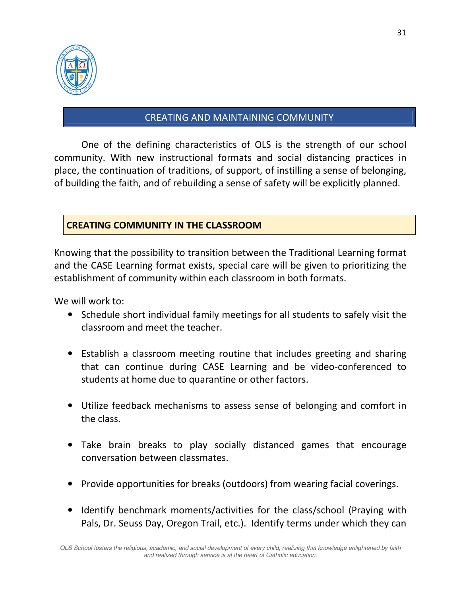

## CREATING AND MAINTAINING COMMUNITY

One of the defining characteristics of OLS is the strength of our school community. With new instructional formats and social distancing practices in place, the continuation of traditions, of support, of instilling a sense of belonging, of building the faith, and of rebuilding a sense of safety will be explicitly planned.

## **CREATING COMMUNITY IN THE CLASSROOM**

Knowing that the possibility to transition between the Traditional Learning format and the CASE Learning format exists, special care will be given to prioritizing the establishment of community within each classroom in both formats.

We will work to:

- Schedule short individual family meetings for all students to safely visit the classroom and meet the teacher.
- Establish a classroom meeting routine that includes greeting and sharing that can continue during CASE Learning and be video-conferenced to students at home due to quarantine or other factors.
- Utilize feedback mechanisms to assess sense of belonging and comfort in the class.
- Take brain breaks to play socially distanced games that encourage conversation between classmates.
- Provide opportunities for breaks (outdoors) from wearing facial coverings.
- Identify benchmark moments/activities for the class/school (Praying with Pals, Dr. Seuss Day, Oregon Trail, etc.). Identify terms under which they can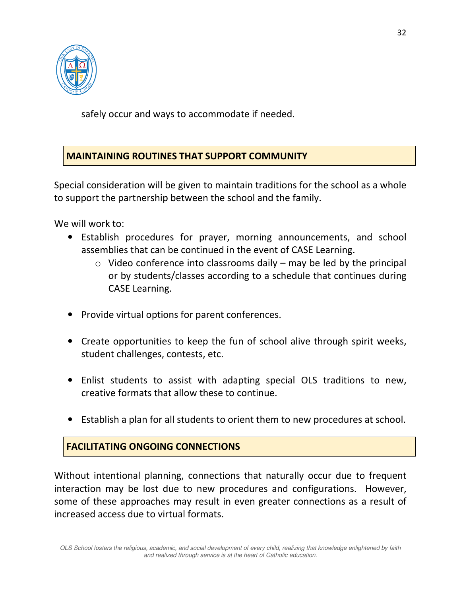

safely occur and ways to accommodate if needed.

# **MAINTAINING ROUTINES THAT SUPPORT COMMUNITY**

Special consideration will be given to maintain traditions for the school as a whole to support the partnership between the school and the family.

We will work to:

- Establish procedures for prayer, morning announcements, and school assemblies that can be continued in the event of CASE Learning.
	- $\circ$  Video conference into classrooms daily may be led by the principal or by students/classes according to a schedule that continues during CASE Learning.
- Provide virtual options for parent conferences.
- Create opportunities to keep the fun of school alive through spirit weeks, student challenges, contests, etc.
- Enlist students to assist with adapting special OLS traditions to new, creative formats that allow these to continue.
- Establish a plan for all students to orient them to new procedures at school.

# **FACILITATING ONGOING CONNECTIONS**

Without intentional planning, connections that naturally occur due to frequent interaction may be lost due to new procedures and configurations. However, some of these approaches may result in even greater connections as a result of increased access due to virtual formats.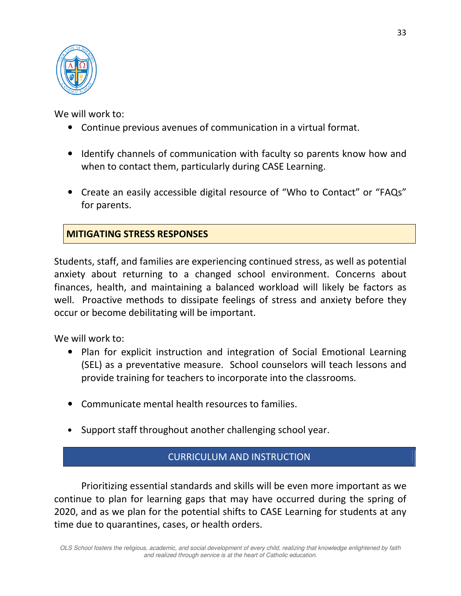

We will work to:

- Continue previous avenues of communication in a virtual format.
- Identify channels of communication with faculty so parents know how and when to contact them, particularly during CASE Learning.
- Create an easily accessible digital resource of "Who to Contact" or "FAQs" for parents.

## **MITIGATING STRESS RESPONSES**

Students, staff, and families are experiencing continued stress, as well as potential anxiety about returning to a changed school environment. Concerns about finances, health, and maintaining a balanced workload will likely be factors as well. Proactive methods to dissipate feelings of stress and anxiety before they occur or become debilitating will be important.

We will work to:

- Plan for explicit instruction and integration of Social Emotional Learning (SEL) as a preventative measure. School counselors will teach lessons and provide training for teachers to incorporate into the classrooms.
- Communicate mental health resources to families.
- Support staff throughout another challenging school year.

## CURRICULUM AND INSTRUCTION

Prioritizing essential standards and skills will be even more important as we continue to plan for learning gaps that may have occurred during the spring of 2020, and as we plan for the potential shifts to CASE Learning for students at any time due to quarantines, cases, or health orders.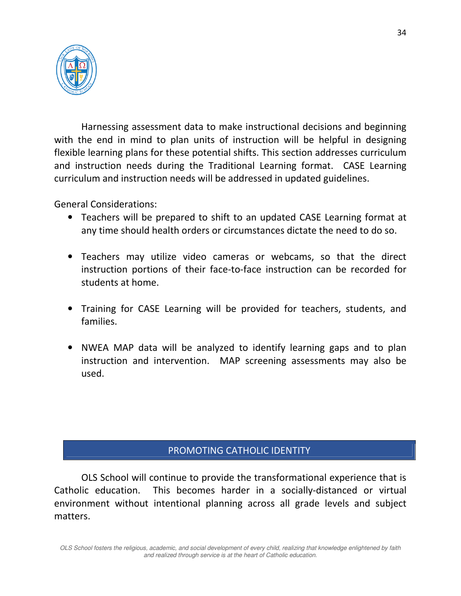

Harnessing assessment data to make instructional decisions and beginning with the end in mind to plan units of instruction will be helpful in designing flexible learning plans for these potential shifts. This section addresses curriculum and instruction needs during the Traditional Learning format. CASE Learning curriculum and instruction needs will be addressed in updated guidelines.

General Considerations:

- Teachers will be prepared to shift to an updated CASE Learning format at any time should health orders or circumstances dictate the need to do so.
- Teachers may utilize video cameras or webcams, so that the direct instruction portions of their face-to-face instruction can be recorded for students at home.
- Training for CASE Learning will be provided for teachers, students, and families.
- NWEA MAP data will be analyzed to identify learning gaps and to plan instruction and intervention. MAP screening assessments may also be used.

#### PROMOTING CATHOLIC IDENTITY

OLS School will continue to provide the transformational experience that is Catholic education. This becomes harder in a socially-distanced or virtual environment without intentional planning across all grade levels and subject matters.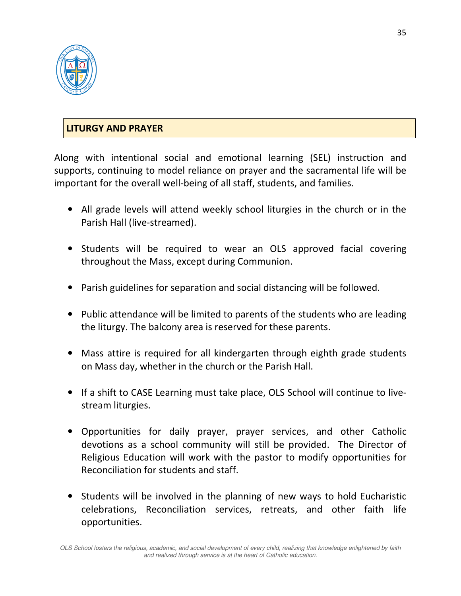

## **LITURGY AND PRAYER**

Along with intentional social and emotional learning (SEL) instruction and supports, continuing to model reliance on prayer and the sacramental life will be important for the overall well-being of all staff, students, and families.

- All grade levels will attend weekly school liturgies in the church or in the Parish Hall (live-streamed).
- Students will be required to wear an OLS approved facial covering throughout the Mass, except during Communion.
- Parish guidelines for separation and social distancing will be followed.
- Public attendance will be limited to parents of the students who are leading the liturgy. The balcony area is reserved for these parents.
- Mass attire is required for all kindergarten through eighth grade students on Mass day, whether in the church or the Parish Hall.
- If a shift to CASE Learning must take place, OLS School will continue to livestream liturgies.
- Opportunities for daily prayer, prayer services, and other Catholic devotions as a school community will still be provided. The Director of Religious Education will work with the pastor to modify opportunities for Reconciliation for students and staff.
- Students will be involved in the planning of new ways to hold Eucharistic celebrations, Reconciliation services, retreats, and other faith life opportunities.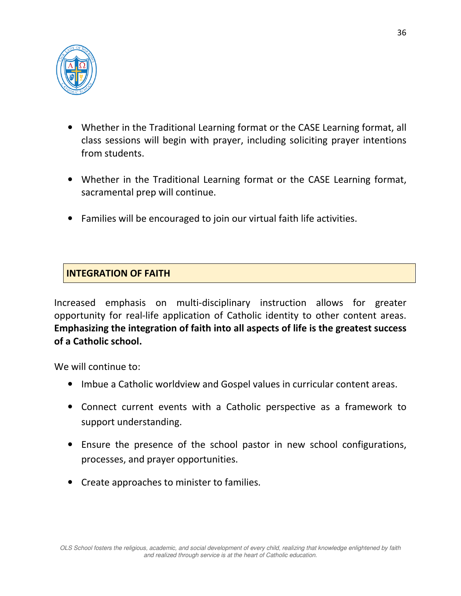

- Whether in the Traditional Learning format or the CASE Learning format, all class sessions will begin with prayer, including soliciting prayer intentions from students.
- Whether in the Traditional Learning format or the CASE Learning format, sacramental prep will continue.
- Families will be encouraged to join our virtual faith life activities.

# **INTEGRATION OF FAITH**

Increased emphasis on multi-disciplinary instruction allows for greater opportunity for real-life application of Catholic identity to other content areas. **Emphasizing the integration of faith into all aspects of life is the greatest success of a Catholic school.**

We will continue to:

- Imbue a Catholic worldview and Gospel values in curricular content areas.
- Connect current events with a Catholic perspective as a framework to support understanding.
- Ensure the presence of the school pastor in new school configurations, processes, and prayer opportunities.
- Create approaches to minister to families.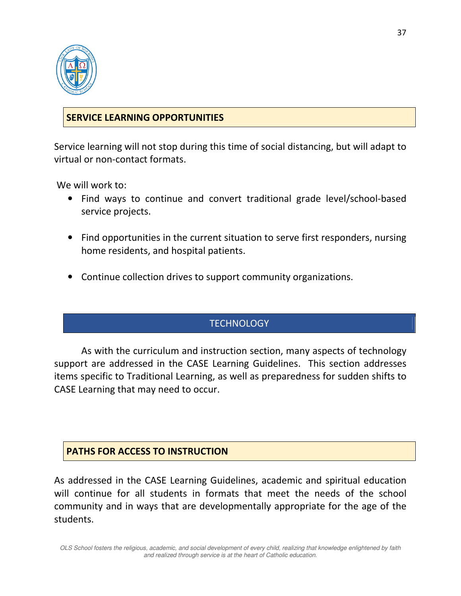

## **SERVICE LEARNING OPPORTUNITIES**

Service learning will not stop during this time of social distancing, but will adapt to virtual or non-contact formats.

We will work to:

- Find ways to continue and convert traditional grade level/school-based service projects.
- Find opportunities in the current situation to serve first responders, nursing home residents, and hospital patients.
- Continue collection drives to support community organizations.

## **TECHNOLOGY**

As with the curriculum and instruction section, many aspects of technology support are addressed in the CASE Learning Guidelines. This section addresses items specific to Traditional Learning, as well as preparedness for sudden shifts to CASE Learning that may need to occur.

#### **PATHS FOR ACCESS TO INSTRUCTION**

As addressed in the CASE Learning Guidelines, academic and spiritual education will continue for all students in formats that meet the needs of the school community and in ways that are developmentally appropriate for the age of the students.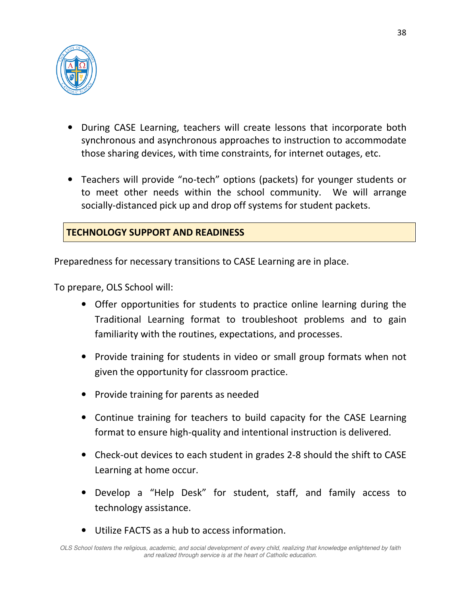

- During CASE Learning, teachers will create lessons that incorporate both synchronous and asynchronous approaches to instruction to accommodate those sharing devices, with time constraints, for internet outages, etc.
- Teachers will provide "no-tech" options (packets) for younger students or to meet other needs within the school community. We will arrange socially-distanced pick up and drop off systems for student packets.

## **TECHNOLOGY SUPPORT AND READINESS**

Preparedness for necessary transitions to CASE Learning are in place.

To prepare, OLS School will:

- Offer opportunities for students to practice online learning during the Traditional Learning format to troubleshoot problems and to gain familiarity with the routines, expectations, and processes.
- Provide training for students in video or small group formats when not given the opportunity for classroom practice.
- Provide training for parents as needed
- Continue training for teachers to build capacity for the CASE Learning format to ensure high-quality and intentional instruction is delivered.
- Check-out devices to each student in grades 2-8 should the shift to CASE Learning at home occur.
- Develop a "Help Desk" for student, staff, and family access to technology assistance.
- Utilize FACTS as a hub to access information.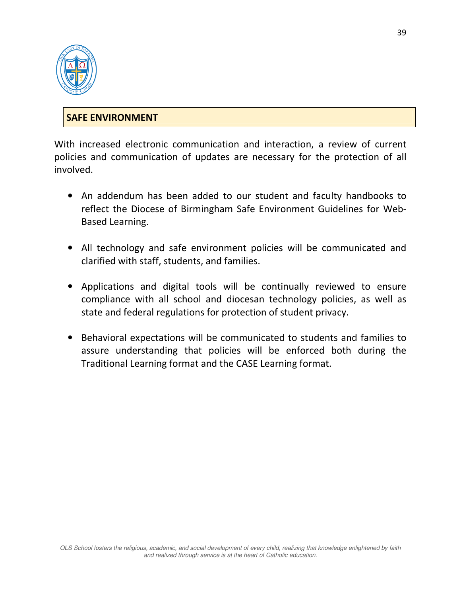

## **SAFE ENVIRONMENT**

With increased electronic communication and interaction, a review of current policies and communication of updates are necessary for the protection of all involved.

- An addendum has been added to our student and faculty handbooks to reflect the Diocese of Birmingham Safe Environment Guidelines for Web-Based Learning.
- All technology and safe environment policies will be communicated and clarified with staff, students, and families.
- Applications and digital tools will be continually reviewed to ensure compliance with all school and diocesan technology policies, as well as state and federal regulations for protection of student privacy.
- Behavioral expectations will be communicated to students and families to assure understanding that policies will be enforced both during the Traditional Learning format and the CASE Learning format.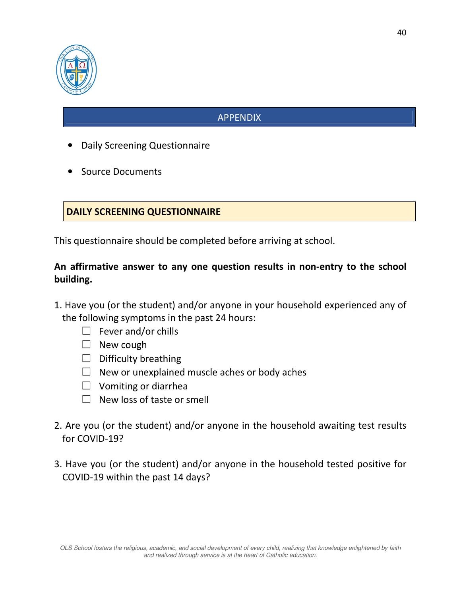

# APPENDIX

- Daily Screening Questionnaire
- Source Documents

## **DAILY SCREENING QUESTIONNAIRE**

This questionnaire should be completed before arriving at school.

## **An affirmative answer to any one question results in non-entry to the school building.**

- 1. Have you (or the student) and/or anyone in your household experienced any of the following symptoms in the past 24 hours:
	- $\Box$  Fever and/or chills
	- ☐ New cough
	- $\Box$  Difficulty breathing
	- $\Box$  New or unexplained muscle aches or body aches
	- $\Box$  Vomiting or diarrhea
	- $\Box$  New loss of taste or smell
- 2. Are you (or the student) and/or anyone in the household awaiting test results for COVID-19?
- 3. Have you (or the student) and/or anyone in the household tested positive for COVID-19 within the past 14 days?